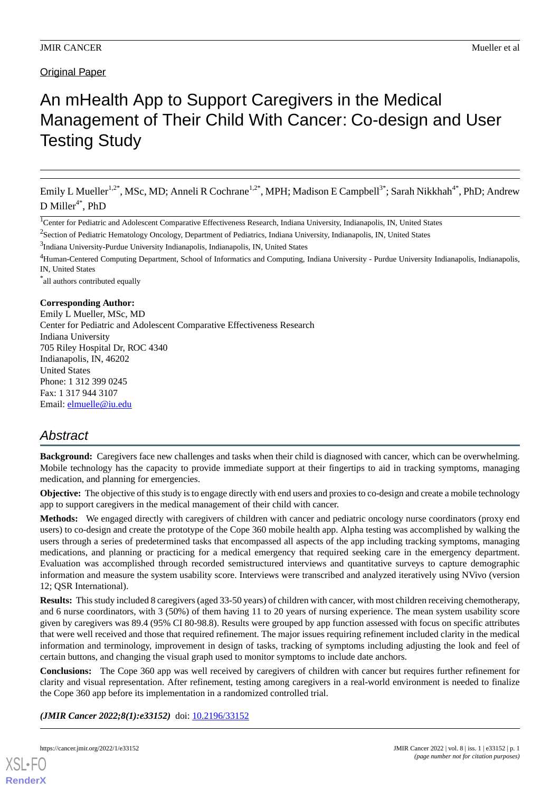# An mHealth App to Support Caregivers in the Medical Management of Their Child With Cancer: Co-design and User Testing Study

Emily L Mueller<sup>1,2\*</sup>, MSc, MD; Anneli R Cochrane<sup>1,2\*</sup>, MPH; Madison E Campbell<sup>3\*</sup>; Sarah Nikkhah<sup>4\*</sup>, PhD; Andrew D Miller<sup>4\*</sup>, PhD

<sup>1</sup>Center for Pediatric and Adolescent Comparative Effectiveness Research, Indiana University, Indianapolis, IN, United States

<sup>2</sup>Section of Pediatric Hematology Oncology, Department of Pediatrics, Indiana University, Indianapolis, IN, United States

<sup>3</sup>Indiana University-Purdue University Indianapolis, Indianapolis, IN, United States

<sup>4</sup>Human-Centered Computing Department, School of Informatics and Computing, Indiana University - Purdue University Indianapolis, Indianapolis, IN, United States

\* all authors contributed equally

#### **Corresponding Author:**

Emily L Mueller, MSc, MD Center for Pediatric and Adolescent Comparative Effectiveness Research Indiana University 705 Riley Hospital Dr, ROC 4340 Indianapolis, IN, 46202 United States Phone: 1 312 399 0245 Fax: 1 317 944 3107 Email: [elmuelle@iu.edu](mailto:elmuelle@iu.edu)

# *Abstract*

**Background:** Caregivers face new challenges and tasks when their child is diagnosed with cancer, which can be overwhelming. Mobile technology has the capacity to provide immediate support at their fingertips to aid in tracking symptoms, managing medication, and planning for emergencies.

**Objective:** The objective of this study is to engage directly with end users and proxies to co-design and create a mobile technology app to support caregivers in the medical management of their child with cancer.

**Methods:** We engaged directly with caregivers of children with cancer and pediatric oncology nurse coordinators (proxy end users) to co-design and create the prototype of the Cope 360 mobile health app. Alpha testing was accomplished by walking the users through a series of predetermined tasks that encompassed all aspects of the app including tracking symptoms, managing medications, and planning or practicing for a medical emergency that required seeking care in the emergency department. Evaluation was accomplished through recorded semistructured interviews and quantitative surveys to capture demographic information and measure the system usability score. Interviews were transcribed and analyzed iteratively using NVivo (version 12; QSR International).

**Results:** This study included 8 caregivers (aged 33-50 years) of children with cancer, with most children receiving chemotherapy, and 6 nurse coordinators, with 3 (50%) of them having 11 to 20 years of nursing experience. The mean system usability score given by caregivers was 89.4 (95% CI 80-98.8). Results were grouped by app function assessed with focus on specific attributes that were well received and those that required refinement. The major issues requiring refinement included clarity in the medical information and terminology, improvement in design of tasks, tracking of symptoms including adjusting the look and feel of certain buttons, and changing the visual graph used to monitor symptoms to include date anchors.

**Conclusions:** The Cope 360 app was well received by caregivers of children with cancer but requires further refinement for clarity and visual representation. After refinement, testing among caregivers in a real-world environment is needed to finalize the Cope 360 app before its implementation in a randomized controlled trial.

(JMIR Cancer 2022;8(1):e33152) doi: [10.2196/33152](http://dx.doi.org/10.2196/33152)

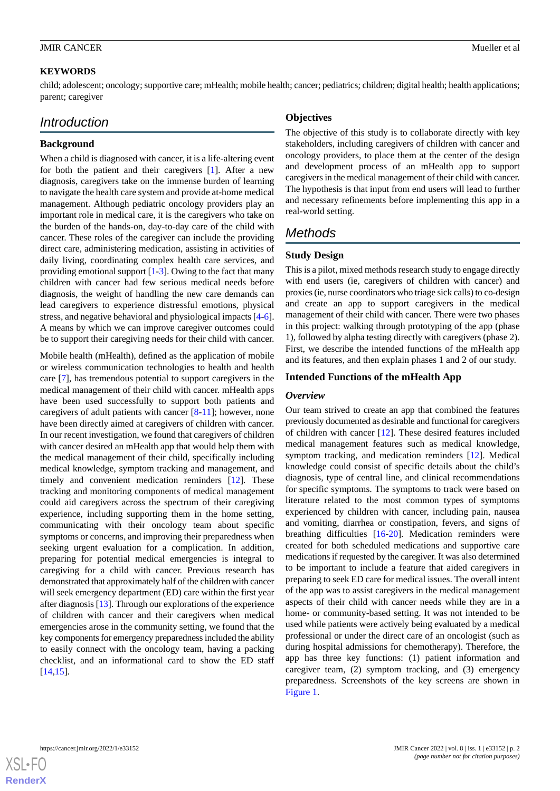# **KEYWORDS**

child; adolescent; oncology; supportive care; mHealth; mobile health; cancer; pediatrics; children; digital health; health applications; parent; caregiver

# *Introduction*

# **Background**

When a child is diagnosed with cancer, it is a life-altering event for both the patient and their caregivers [[1\]](#page-8-0). After a new diagnosis, caregivers take on the immense burden of learning to navigate the health care system and provide at-home medical management. Although pediatric oncology providers play an important role in medical care, it is the caregivers who take on the burden of the hands-on, day-to-day care of the child with cancer. These roles of the caregiver can include the providing direct care, administering medication, assisting in activities of daily living, coordinating complex health care services, and providing emotional support [[1-](#page-8-0)[3](#page-8-1)]. Owing to the fact that many children with cancer had few serious medical needs before diagnosis, the weight of handling the new care demands can lead caregivers to experience distressful emotions, physical stress, and negative behavioral and physiological impacts [[4-](#page-8-2)[6\]](#page-8-3). A means by which we can improve caregiver outcomes could be to support their caregiving needs for their child with cancer.

Mobile health (mHealth), defined as the application of mobile or wireless communication technologies to health and health care [\[7](#page-8-4)], has tremendous potential to support caregivers in the medical management of their child with cancer. mHealth apps have been used successfully to support both patients and caregivers of adult patients with cancer [\[8](#page-8-5)-[11\]](#page-9-0); however, none have been directly aimed at caregivers of children with cancer. In our recent investigation, we found that caregivers of children with cancer desired an mHealth app that would help them with the medical management of their child, specifically including medical knowledge, symptom tracking and management, and timely and convenient medication reminders [[12\]](#page-9-1). These tracking and monitoring components of medical management could aid caregivers across the spectrum of their caregiving experience, including supporting them in the home setting, communicating with their oncology team about specific symptoms or concerns, and improving their preparedness when seeking urgent evaluation for a complication. In addition, preparing for potential medical emergencies is integral to caregiving for a child with cancer. Previous research has demonstrated that approximately half of the children with cancer will seek emergency department (ED) care within the first year after diagnosis [\[13](#page-9-2)]. Through our explorations of the experience of children with cancer and their caregivers when medical emergencies arose in the community setting, we found that the key components for emergency preparedness included the ability to easily connect with the oncology team, having a packing checklist, and an informational card to show the ED staff [[14](#page-9-3)[,15](#page-9-4)].

# **Objectives**

The objective of this study is to collaborate directly with key stakeholders, including caregivers of children with cancer and oncology providers, to place them at the center of the design and development process of an mHealth app to support caregivers in the medical management of their child with cancer. The hypothesis is that input from end users will lead to further and necessary refinements before implementing this app in a real-world setting.

# *Methods*

# **Study Design**

This is a pilot, mixed methods research study to engage directly with end users (ie, caregivers of children with cancer) and proxies (ie, nurse coordinators who triage sick calls) to co-design and create an app to support caregivers in the medical management of their child with cancer. There were two phases in this project: walking through prototyping of the app (phase 1), followed by alpha testing directly with caregivers (phase 2). First, we describe the intended functions of the mHealth app and its features, and then explain phases 1 and 2 of our study.

# **Intended Functions of the mHealth App**

#### *Overview*

Our team strived to create an app that combined the features previously documented as desirable and functional for caregivers of children with cancer [\[12](#page-9-1)]. These desired features included medical management features such as medical knowledge, symptom tracking, and medication reminders [[12\]](#page-9-1). Medical knowledge could consist of specific details about the child's diagnosis, type of central line, and clinical recommendations for specific symptoms. The symptoms to track were based on literature related to the most common types of symptoms experienced by children with cancer, including pain, nausea and vomiting, diarrhea or constipation, fevers, and signs of breathing difficulties [\[16](#page-9-5)[-20](#page-9-6)]. Medication reminders were created for both scheduled medications and supportive care medications if requested by the caregiver. It was also determined to be important to include a feature that aided caregivers in preparing to seek ED care for medical issues. The overall intent of the app was to assist caregivers in the medical management aspects of their child with cancer needs while they are in a home- or community-based setting. It was not intended to be used while patients were actively being evaluated by a medical professional or under the direct care of an oncologist (such as during hospital admissions for chemotherapy). Therefore, the app has three key functions: (1) patient information and caregiver team, (2) symptom tracking, and (3) emergency preparedness. Screenshots of the key screens are shown in [Figure 1](#page-2-0).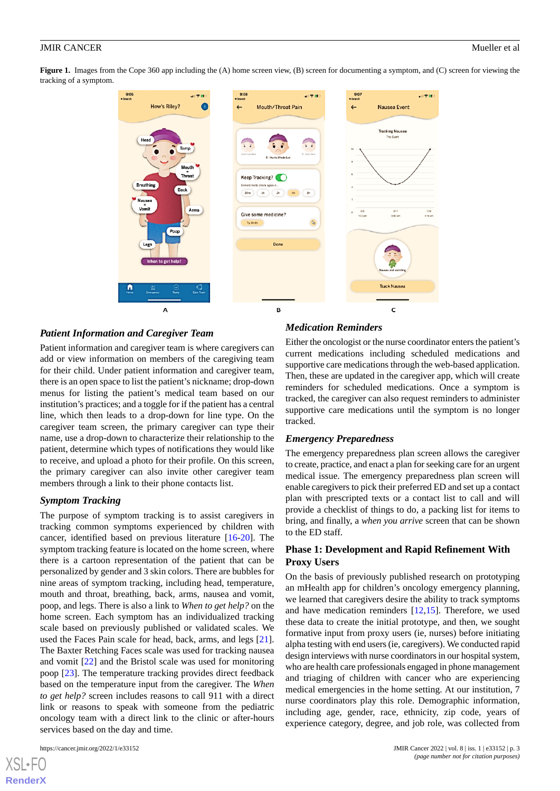<span id="page-2-0"></span>**Figure 1.** Images from the Cope 360 app including the (A) home screen view, (B) screen for documenting a symptom, and (C) screen for viewing the tracking of a symptom.



# *Patient Information and Caregiver Team*

Patient information and caregiver team is where caregivers can add or view information on members of the caregiving team for their child. Under patient information and caregiver team, there is an open space to list the patient's nickname; drop-down menus for listing the patient's medical team based on our institution's practices; and a toggle for if the patient has a central line, which then leads to a drop-down for line type. On the caregiver team screen, the primary caregiver can type their name, use a drop-down to characterize their relationship to the patient, determine which types of notifications they would like to receive, and upload a photo for their profile. On this screen, the primary caregiver can also invite other caregiver team members through a link to their phone contacts list.

#### *Symptom Tracking*

The purpose of symptom tracking is to assist caregivers in tracking common symptoms experienced by children with cancer, identified based on previous literature [\[16](#page-9-5)-[20\]](#page-9-6). The symptom tracking feature is located on the home screen, where there is a cartoon representation of the patient that can be personalized by gender and 3 skin colors. There are bubbles for nine areas of symptom tracking, including head, temperature, mouth and throat, breathing, back, arms, nausea and vomit, poop, and legs. There is also a link to *When to get help?* on the home screen. Each symptom has an individualized tracking scale based on previously published or validated scales. We used the Faces Pain scale for head, back, arms, and legs [[21\]](#page-9-7). The Baxter Retching Faces scale was used for tracking nausea and vomit [[22\]](#page-9-8) and the Bristol scale was used for monitoring poop [[23\]](#page-9-9). The temperature tracking provides direct feedback based on the temperature input from the caregiver. The *When to get help?* screen includes reasons to call 911 with a direct link or reasons to speak with someone from the pediatric oncology team with a direct link to the clinic or after-hours services based on the day and time.

[XSL](http://www.w3.org/Style/XSL)•FO **[RenderX](http://www.renderx.com/)**

#### *Medication Reminders*

Either the oncologist or the nurse coordinator enters the patient's current medications including scheduled medications and supportive care medications through the web-based application. Then, these are updated in the caregiver app, which will create reminders for scheduled medications. Once a symptom is tracked, the caregiver can also request reminders to administer supportive care medications until the symptom is no longer tracked.

#### *Emergency Preparedness*

The emergency preparedness plan screen allows the caregiver to create, practice, and enact a plan for seeking care for an urgent medical issue. The emergency preparedness plan screen will enable caregivers to pick their preferred ED and set up a contact plan with prescripted texts or a contact list to call and will provide a checklist of things to do, a packing list for items to bring, and finally, a *when you arrive* screen that can be shown to the ED staff.

# **Phase 1: Development and Rapid Refinement With Proxy Users**

On the basis of previously published research on prototyping an mHealth app for children's oncology emergency planning, we learned that caregivers desire the ability to track symptoms and have medication reminders [\[12](#page-9-1),[15\]](#page-9-4). Therefore, we used these data to create the initial prototype, and then, we sought formative input from proxy users (ie, nurses) before initiating alpha testing with end users (ie, caregivers). We conducted rapid design interviews with nurse coordinators in our hospital system, who are health care professionals engaged in phone management and triaging of children with cancer who are experiencing medical emergencies in the home setting. At our institution, 7 nurse coordinators play this role. Demographic information, including age, gender, race, ethnicity, zip code, years of experience category, degree, and job role, was collected from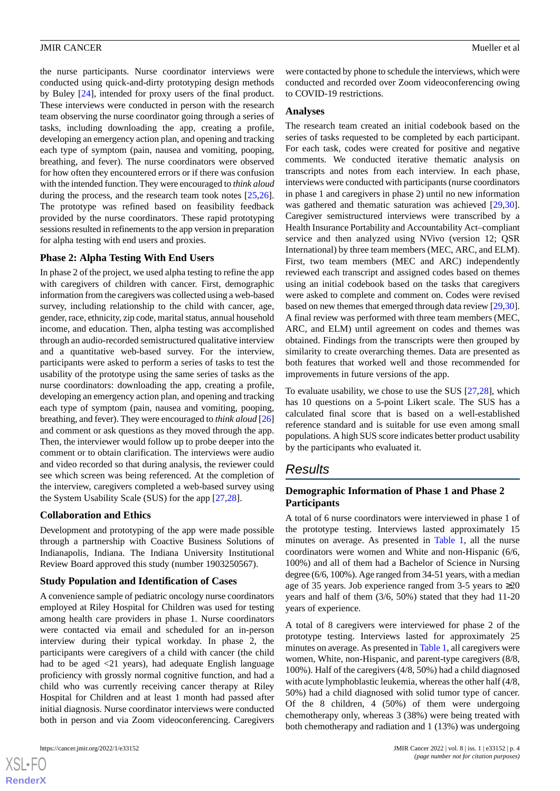the nurse participants. Nurse coordinator interviews were conducted using quick-and-dirty prototyping design methods by Buley [\[24](#page-9-10)], intended for proxy users of the final product. These interviews were conducted in person with the research team observing the nurse coordinator going through a series of tasks, including downloading the app, creating a profile, developing an emergency action plan, and opening and tracking each type of symptom (pain, nausea and vomiting, pooping, breathing, and fever). The nurse coordinators were observed for how often they encountered errors or if there was confusion with the intended function. They were encouraged to *think aloud* during the process, and the research team took notes [\[25](#page-9-11),[26\]](#page-9-12). The prototype was refined based on feasibility feedback provided by the nurse coordinators. These rapid prototyping sessions resulted in refinements to the app version in preparation for alpha testing with end users and proxies.

# **Phase 2: Alpha Testing With End Users**

In phase 2 of the project, we used alpha testing to refine the app with caregivers of children with cancer. First, demographic information from the caregivers was collected using a web-based survey, including relationship to the child with cancer, age, gender, race, ethnicity, zip code, marital status, annual household income, and education. Then, alpha testing was accomplished through an audio-recorded semistructured qualitative interview and a quantitative web-based survey. For the interview, participants were asked to perform a series of tasks to test the usability of the prototype using the same series of tasks as the nurse coordinators: downloading the app, creating a profile, developing an emergency action plan, and opening and tracking each type of symptom (pain, nausea and vomiting, pooping, breathing, and fever). They were encouraged to *think aloud* [\[26](#page-9-12)] and comment or ask questions as they moved through the app. Then, the interviewer would follow up to probe deeper into the comment or to obtain clarification. The interviews were audio and video recorded so that during analysis, the reviewer could see which screen was being referenced. At the completion of the interview, caregivers completed a web-based survey using the System Usability Scale (SUS) for the app [\[27](#page-9-13),[28\]](#page-9-14).

# **Collaboration and Ethics**

Development and prototyping of the app were made possible through a partnership with Coactive Business Solutions of Indianapolis, Indiana. The Indiana University Institutional Review Board approved this study (number 1903250567).

# **Study Population and Identification of Cases**

A convenience sample of pediatric oncology nurse coordinators employed at Riley Hospital for Children was used for testing among health care providers in phase 1. Nurse coordinators were contacted via email and scheduled for an in-person interview during their typical workday. In phase 2, the participants were caregivers of a child with cancer (the child had to be aged <21 years), had adequate English language proficiency with grossly normal cognitive function, and had a child who was currently receiving cancer therapy at Riley Hospital for Children and at least 1 month had passed after initial diagnosis. Nurse coordinator interviews were conducted both in person and via Zoom videoconferencing. Caregivers

 $XS$  • FO **[RenderX](http://www.renderx.com/)** were contacted by phone to schedule the interviews, which were conducted and recorded over Zoom videoconferencing owing to COVID-19 restrictions.

#### **Analyses**

The research team created an initial codebook based on the series of tasks requested to be completed by each participant. For each task, codes were created for positive and negative comments. We conducted iterative thematic analysis on transcripts and notes from each interview. In each phase, interviews were conducted with participants (nurse coordinators in phase 1 and caregivers in phase 2) until no new information was gathered and thematic saturation was achieved [\[29](#page-9-15),[30\]](#page-9-16). Caregiver semistructured interviews were transcribed by a Health Insurance Portability and Accountability Act–compliant service and then analyzed using NVivo (version 12; QSR International) by three team members (MEC, ARC, and ELM). First, two team members (MEC and ARC) independently reviewed each transcript and assigned codes based on themes using an initial codebook based on the tasks that caregivers were asked to complete and comment on. Codes were revised based on new themes that emerged through data review [[29](#page-9-15)[,30\]](#page-9-16). A final review was performed with three team members (MEC, ARC, and ELM) until agreement on codes and themes was obtained. Findings from the transcripts were then grouped by similarity to create overarching themes. Data are presented as both features that worked well and those recommended for improvements in future versions of the app.

To evaluate usability, we chose to use the SUS [\[27](#page-9-13),[28\]](#page-9-14), which has 10 questions on a 5-point Likert scale. The SUS has a calculated final score that is based on a well-established reference standard and is suitable for use even among small populations. A high SUS score indicates better product usability by the participants who evaluated it.

# *Results*

# **Demographic Information of Phase 1 and Phase 2 Participants**

A total of 6 nurse coordinators were interviewed in phase 1 of the prototype testing. Interviews lasted approximately 15 minutes on average. As presented in [Table 1](#page-4-0), all the nurse coordinators were women and White and non-Hispanic (6/6, 100%) and all of them had a Bachelor of Science in Nursing degree (6/6, 100%). Age ranged from 34-51 years, with a median age of 35 years. Job experience ranged from 3-5 years to ≥20 years and half of them (3/6, 50%) stated that they had 11-20 years of experience.

A total of 8 caregivers were interviewed for phase 2 of the prototype testing. Interviews lasted for approximately 25 minutes on average. As presented in [Table 1](#page-4-0), all caregivers were women, White, non-Hispanic, and parent-type caregivers (8/8, 100%). Half of the caregivers (4/8, 50%) had a child diagnosed with acute lymphoblastic leukemia, whereas the other half (4/8, 50%) had a child diagnosed with solid tumor type of cancer. Of the 8 children, 4 (50%) of them were undergoing chemotherapy only, whereas 3 (38%) were being treated with both chemotherapy and radiation and 1 (13%) was undergoing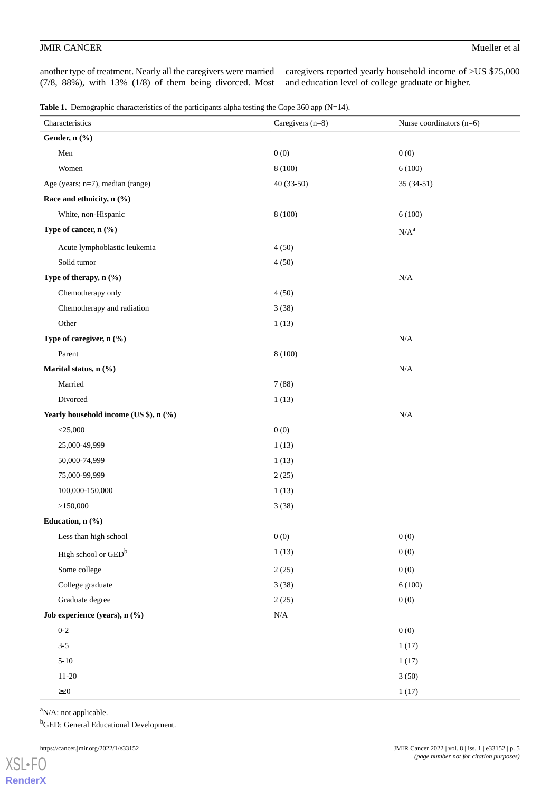another type of treatment. Nearly all the caregivers were married (7/8, 88%), with 13% (1/8) of them being divorced. Most caregivers reported yearly household income of >US \$75,000 and education level of college graduate or higher.

<span id="page-4-0"></span>Table 1. Demographic characteristics of the participants alpha testing the Cope 360 app (N=14).

| Characteristics                        | Caregivers (n=8) | Nurse coordinators $(n=6)$ |
|----------------------------------------|------------------|----------------------------|
| Gender, n (%)                          |                  |                            |
| Men                                    | 0(0)             | 0(0)                       |
| Women                                  | 8 (100)          | 6(100)                     |
| Age (years; n=7), median (range)       | 40 (33-50)       | $35(34-51)$                |
| Race and ethnicity, n (%)              |                  |                            |
| White, non-Hispanic                    | 8 (100)          | 6(100)                     |
| Type of cancer, n (%)                  |                  | $N/A^a$                    |
| Acute lymphoblastic leukemia           | 4(50)            |                            |
| Solid tumor                            | 4(50)            |                            |
| Type of therapy, n (%)                 |                  | $\rm N/A$                  |
| Chemotherapy only                      | 4(50)            |                            |
| Chemotherapy and radiation             | 3(38)            |                            |
| Other                                  | 1(13)            |                            |
| Type of caregiver, n (%)               |                  | $\rm N/A$                  |
| Parent                                 | 8(100)           |                            |
| Marital status, n (%)                  |                  | $\rm N/A$                  |
| Married                                | 7(88)            |                            |
| Divorced                               | 1(13)            |                            |
| Yearly household income (US \$), n (%) |                  | N/A                        |
| $<$ 25,000                             | 0(0)             |                            |
| 25,000-49,999                          | 1(13)            |                            |
| 50,000-74,999                          | 1(13)            |                            |
| 75,000-99,999                          | 2(25)            |                            |
| 100,000-150,000                        | 1(13)            |                            |
| >150,000                               | 3(38)            |                            |
| Education, n (%)                       |                  |                            |
| Less than high school                  | 0(0)             | 0(0)                       |
| High school or GED <sup>b</sup>        | 1(13)            | 0(0)                       |
| Some college                           | 2(25)            | 0(0)                       |
| College graduate                       | 3(38)            | 6(100)                     |
| Graduate degree                        | 2(25)            | 0(0)                       |
| Job experience (years), n (%)          | $\rm N/A$        |                            |
| $0 - 2$                                |                  | 0(0)                       |
| $3 - 5$                                |                  | 1(17)                      |
| $5 - 10$                               |                  | 1(17)                      |
| $11 - 20$                              |                  | 3(50)                      |
| $\geq$ 20                              |                  | 1(17)                      |

 $a$ N/A: not applicable.

<sup>b</sup>GED: General Educational Development.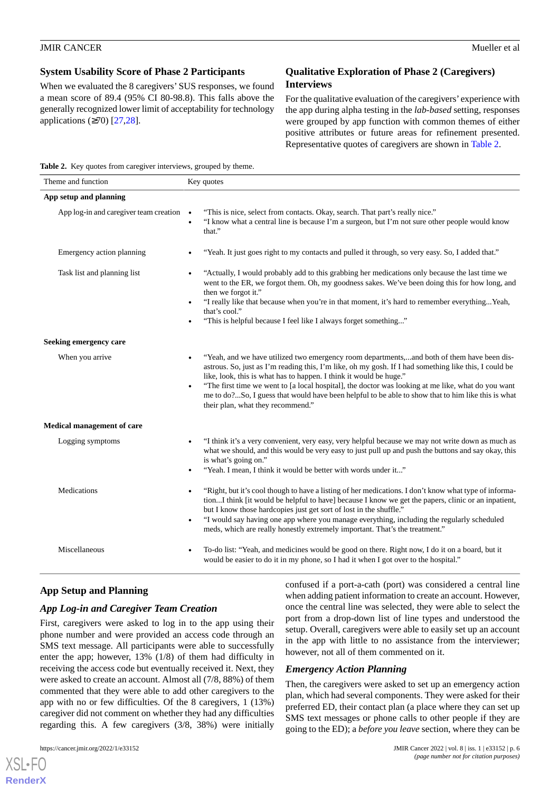# **System Usability Score of Phase 2 Participants**

When we evaluated the 8 caregivers' SUS responses, we found a mean score of 89.4 (95% CI 80-98.8). This falls above the generally recognized lower limit of acceptability for technology applications  $(\geq 70)$  [\[27](#page-9-13),[28\]](#page-9-14).

# **Qualitative Exploration of Phase 2 (Caregivers) Interviews**

For the qualitative evaluation of the caregivers' experience with the app during alpha testing in the *lab-based* setting, responses were grouped by app function with common themes of either positive attributes or future areas for refinement presented. Representative quotes of caregivers are shown in [Table 2](#page-5-0).

<span id="page-5-0"></span>**Table 2.** Key quotes from caregiver interviews, grouped by theme.

| Theme and function                               | Key quotes                                                                                                                                                                                                                                                                                                                                                                                                                                                                                                                                           |  |
|--------------------------------------------------|------------------------------------------------------------------------------------------------------------------------------------------------------------------------------------------------------------------------------------------------------------------------------------------------------------------------------------------------------------------------------------------------------------------------------------------------------------------------------------------------------------------------------------------------------|--|
| App setup and planning                           |                                                                                                                                                                                                                                                                                                                                                                                                                                                                                                                                                      |  |
| App log-in and caregiver team creation $\bullet$ | "This is nice, select from contacts. Okay, search. That part's really nice."<br>"I know what a central line is because I'm a surgeon, but I'm not sure other people would know<br>$\bullet$<br>that."                                                                                                                                                                                                                                                                                                                                                |  |
| Emergency action planning                        | "Yeah. It just goes right to my contacts and pulled it through, so very easy. So, I added that."                                                                                                                                                                                                                                                                                                                                                                                                                                                     |  |
| Task list and planning list                      | "Actually, I would probably add to this grabbing her medications only because the last time we<br>$\bullet$<br>went to the ER, we forgot them. Oh, my goodness sakes. We've been doing this for how long, and<br>then we forgot it."<br>"I really like that because when you're in that moment, it's hard to remember everythingYeah,<br>$\bullet$<br>that's cool."<br>"This is helpful because I feel like I always forget something"<br>$\bullet$                                                                                                  |  |
| Seeking emergency care                           |                                                                                                                                                                                                                                                                                                                                                                                                                                                                                                                                                      |  |
| When you arrive                                  | "Yeah, and we have utilized two emergency room departments,and both of them have been dis-<br>$\bullet$<br>astrous. So, just as I'm reading this, I'm like, oh my gosh. If I had something like this, I could be<br>like, look, this is what has to happen. I think it would be huge."<br>"The first time we went to [a local hospital], the doctor was looking at me like, what do you want<br>$\bullet$<br>me to do?So, I guess that would have been helpful to be able to show that to him like this is what<br>their plan, what they recommend." |  |
| <b>Medical management of care</b>                |                                                                                                                                                                                                                                                                                                                                                                                                                                                                                                                                                      |  |
| Logging symptoms                                 | "I think it's a very convenient, very easy, very helpful because we may not write down as much as<br>$\bullet$<br>what we should, and this would be very easy to just pull up and push the buttons and say okay, this<br>is what's going on."<br>"Yeah. I mean, I think it would be better with words under it"                                                                                                                                                                                                                                      |  |
| Medications                                      | "Right, but it's cool though to have a listing of her medications. I don't know what type of informa-<br>tionI think [it would be helpful to have] because I know we get the papers, clinic or an inpatient,<br>but I know those hardcopies just get sort of lost in the shuffle."<br>"I would say having one app where you manage everything, including the regularly scheduled<br>$\bullet$<br>meds, which are really honestly extremely important. That's the treatment."                                                                         |  |
| Miscellaneous                                    | To-do list: "Yeah, and medicines would be good on there. Right now, I do it on a board, but it<br>would be easier to do it in my phone, so I had it when I got over to the hospital."                                                                                                                                                                                                                                                                                                                                                                |  |

# **App Setup and Planning**

# *App Log-in and Caregiver Team Creation*

First, caregivers were asked to log in to the app using their phone number and were provided an access code through an SMS text message. All participants were able to successfully enter the app; however, 13% (1/8) of them had difficulty in receiving the access code but eventually received it. Next, they were asked to create an account. Almost all (7/8, 88%) of them commented that they were able to add other caregivers to the app with no or few difficulties. Of the 8 caregivers, 1 (13%) caregiver did not comment on whether they had any difficulties regarding this. A few caregivers (3/8, 38%) were initially

confused if a port-a-cath (port) was considered a central line when adding patient information to create an account. However, once the central line was selected, they were able to select the port from a drop-down list of line types and understood the setup. Overall, caregivers were able to easily set up an account in the app with little to no assistance from the interviewer; however, not all of them commented on it.

# *Emergency Action Planning*

Then, the caregivers were asked to set up an emergency action plan, which had several components. They were asked for their preferred ED, their contact plan (a place where they can set up SMS text messages or phone calls to other people if they are going to the ED); a *before you leave* section, where they can be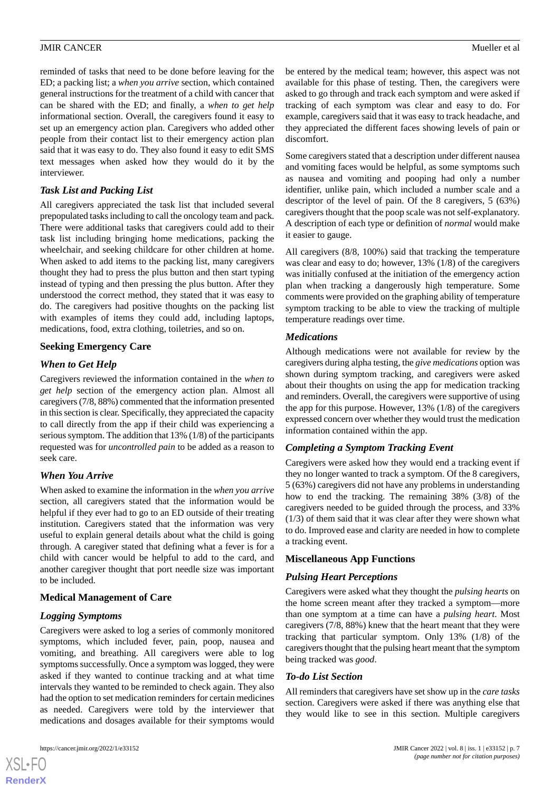reminded of tasks that need to be done before leaving for the ED; a packing list; a *when you arrive* section, which contained general instructions for the treatment of a child with cancer that can be shared with the ED; and finally, a *when to get help* informational section. Overall, the caregivers found it easy to set up an emergency action plan. Caregivers who added other people from their contact list to their emergency action plan said that it was easy to do. They also found it easy to edit SMS text messages when asked how they would do it by the interviewer.

# *Task List and Packing List*

All caregivers appreciated the task list that included several prepopulated tasks including to call the oncology team and pack. There were additional tasks that caregivers could add to their task list including bringing home medications, packing the wheelchair, and seeking childcare for other children at home. When asked to add items to the packing list, many caregivers thought they had to press the plus button and then start typing instead of typing and then pressing the plus button. After they understood the correct method, they stated that it was easy to do. The caregivers had positive thoughts on the packing list with examples of items they could add, including laptops, medications, food, extra clothing, toiletries, and so on.

# **Seeking Emergency Care**

# *When to Get Help*

Caregivers reviewed the information contained in the *when to get help* section of the emergency action plan. Almost all caregivers (7/8, 88%) commented that the information presented in this section is clear. Specifically, they appreciated the capacity to call directly from the app if their child was experiencing a serious symptom. The addition that 13% (1/8) of the participants requested was for *uncontrolled pain* to be added as a reason to seek care.

# *When You Arrive*

When asked to examine the information in the *when you arrive* section, all caregivers stated that the information would be helpful if they ever had to go to an ED outside of their treating institution. Caregivers stated that the information was very useful to explain general details about what the child is going through. A caregiver stated that defining what a fever is for a child with cancer would be helpful to add to the card, and another caregiver thought that port needle size was important to be included.

# **Medical Management of Care**

# *Logging Symptoms*

Caregivers were asked to log a series of commonly monitored symptoms, which included fever, pain, poop, nausea and vomiting, and breathing. All caregivers were able to log symptoms successfully. Once a symptom was logged, they were asked if they wanted to continue tracking and at what time intervals they wanted to be reminded to check again. They also had the option to set medication reminders for certain medicines as needed. Caregivers were told by the interviewer that medications and dosages available for their symptoms would

[XSL](http://www.w3.org/Style/XSL)•FO **[RenderX](http://www.renderx.com/)** be entered by the medical team; however, this aspect was not available for this phase of testing. Then, the caregivers were asked to go through and track each symptom and were asked if tracking of each symptom was clear and easy to do. For example, caregivers said that it was easy to track headache, and they appreciated the different faces showing levels of pain or discomfort.

Some caregivers stated that a description under different nausea and vomiting faces would be helpful, as some symptoms such as nausea and vomiting and pooping had only a number identifier, unlike pain, which included a number scale and a descriptor of the level of pain. Of the 8 caregivers, 5 (63%) caregivers thought that the poop scale was not self-explanatory. A description of each type or definition of *normal* would make it easier to gauge.

All caregivers (8/8, 100%) said that tracking the temperature was clear and easy to do; however, 13% (1/8) of the caregivers was initially confused at the initiation of the emergency action plan when tracking a dangerously high temperature. Some comments were provided on the graphing ability of temperature symptom tracking to be able to view the tracking of multiple temperature readings over time.

## *Medications*

Although medications were not available for review by the caregivers during alpha testing, the *give medications* option was shown during symptom tracking, and caregivers were asked about their thoughts on using the app for medication tracking and reminders. Overall, the caregivers were supportive of using the app for this purpose. However, 13% (1/8) of the caregivers expressed concern over whether they would trust the medication information contained within the app.

# *Completing a Symptom Tracking Event*

Caregivers were asked how they would end a tracking event if they no longer wanted to track a symptom. Of the 8 caregivers, 5 (63%) caregivers did not have any problems in understanding how to end the tracking. The remaining 38% (3/8) of the caregivers needed to be guided through the process, and 33% (1/3) of them said that it was clear after they were shown what to do. Improved ease and clarity are needed in how to complete a tracking event.

#### **Miscellaneous App Functions**

#### *Pulsing Heart Perceptions*

Caregivers were asked what they thought the *pulsing hearts* on the home screen meant after they tracked a symptom—more than one symptom at a time can have a *pulsing heart*. Most caregivers (7/8, 88%) knew that the heart meant that they were tracking that particular symptom. Only 13% (1/8) of the caregivers thought that the pulsing heart meant that the symptom being tracked was *good*.

#### *To-do List Section*

All reminders that caregivers have set show up in the *care tasks* section. Caregivers were asked if there was anything else that they would like to see in this section. Multiple caregivers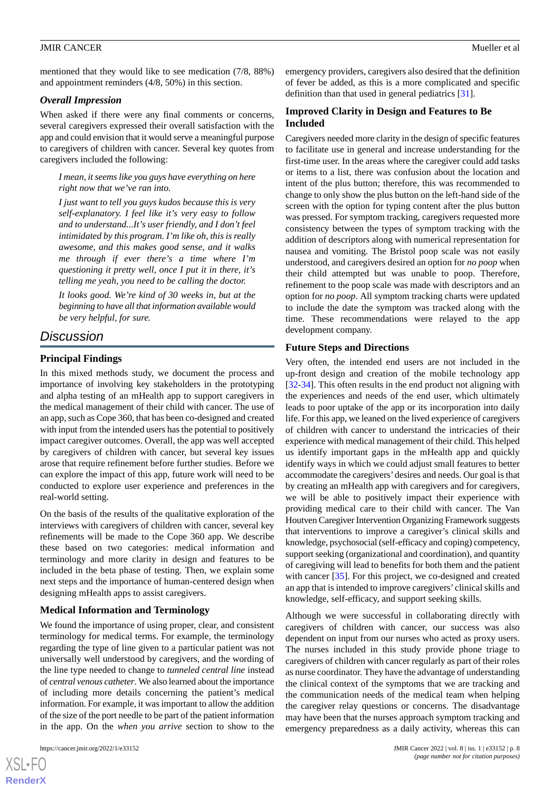mentioned that they would like to see medication (7/8, 88%) and appointment reminders (4/8, 50%) in this section.

# *Overall Impression*

When asked if there were any final comments or concerns, several caregivers expressed their overall satisfaction with the app and could envision that it would serve a meaningful purpose to caregivers of children with cancer. Several key quotes from caregivers included the following:

*I mean, it seems like you guys have everything on here right now that we've ran into.*

*I just want to tell you guys kudos because this is very self-explanatory. I feel like it's very easy to follow and to understand...It's user friendly, and I don't feel intimidated by this program. I'm like oh, this is really awesome, and this makes good sense, and it walks me through if ever there's a time where I'm questioning it pretty well, once I put it in there, it's telling me yeah, you need to be calling the doctor.*

*It looks good. We're kind of 30 weeks in, but at the beginning to have all that information available would be very helpful, for sure.*

# *Discussion*

# **Principal Findings**

In this mixed methods study, we document the process and importance of involving key stakeholders in the prototyping and alpha testing of an mHealth app to support caregivers in the medical management of their child with cancer. The use of an app, such as Cope 360, that has been co-designed and created with input from the intended users has the potential to positively impact caregiver outcomes. Overall, the app was well accepted by caregivers of children with cancer, but several key issues arose that require refinement before further studies. Before we can explore the impact of this app, future work will need to be conducted to explore user experience and preferences in the real-world setting.

On the basis of the results of the qualitative exploration of the interviews with caregivers of children with cancer, several key refinements will be made to the Cope 360 app. We describe these based on two categories: medical information and terminology and more clarity in design and features to be included in the beta phase of testing. Then, we explain some next steps and the importance of human-centered design when designing mHealth apps to assist caregivers.

# **Medical Information and Terminology**

We found the importance of using proper, clear, and consistent terminology for medical terms. For example, the terminology regarding the type of line given to a particular patient was not universally well understood by caregivers, and the wording of the line type needed to change to *tunneled central line* instead of *central venous catheter*. We also learned about the importance of including more details concerning the patient's medical information. For example, it was important to allow the addition of the size of the port needle to be part of the patient information in the app. On the *when you arrive* section to show to the

emergency providers, caregivers also desired that the definition of fever be added, as this is a more complicated and specific definition than that used in general pediatrics [[31\]](#page-9-17).

# **Improved Clarity in Design and Features to Be Included**

Caregivers needed more clarity in the design of specific features to facilitate use in general and increase understanding for the first-time user. In the areas where the caregiver could add tasks or items to a list, there was confusion about the location and intent of the plus button; therefore, this was recommended to change to only show the plus button on the left-hand side of the screen with the option for typing content after the plus button was pressed. For symptom tracking, caregivers requested more consistency between the types of symptom tracking with the addition of descriptors along with numerical representation for nausea and vomiting. The Bristol poop scale was not easily understood, and caregivers desired an option for *no poop* when their child attempted but was unable to poop. Therefore, refinement to the poop scale was made with descriptors and an option for *no poop*. All symptom tracking charts were updated to include the date the symptom was tracked along with the time. These recommendations were relayed to the app development company.

## **Future Steps and Directions**

Very often, the intended end users are not included in the up-front design and creation of the mobile technology app [[32](#page-9-18)[-34](#page-10-0)]. This often results in the end product not aligning with the experiences and needs of the end user, which ultimately leads to poor uptake of the app or its incorporation into daily life. For this app, we leaned on the lived experience of caregivers of children with cancer to understand the intricacies of their experience with medical management of their child. This helped us identify important gaps in the mHealth app and quickly identify ways in which we could adjust small features to better accommodate the caregivers'desires and needs. Our goal is that by creating an mHealth app with caregivers and for caregivers, we will be able to positively impact their experience with providing medical care to their child with cancer. The Van Houtven Caregiver Intervention Organizing Framework suggests that interventions to improve a caregiver's clinical skills and knowledge, psychosocial (self-efficacy and coping) competency, support seeking (organizational and coordination), and quantity of caregiving will lead to benefits for both them and the patient with cancer [\[35](#page-10-1)]. For this project, we co-designed and created an app that is intended to improve caregivers' clinical skills and knowledge, self-efficacy, and support seeking skills.

Although we were successful in collaborating directly with caregivers of children with cancer, our success was also dependent on input from our nurses who acted as proxy users. The nurses included in this study provide phone triage to caregivers of children with cancer regularly as part of their roles as nurse coordinator. They have the advantage of understanding the clinical context of the symptoms that we are tracking and the communication needs of the medical team when helping the caregiver relay questions or concerns. The disadvantage may have been that the nurses approach symptom tracking and emergency preparedness as a daily activity, whereas this can

 $XSI - F($ **[RenderX](http://www.renderx.com/)**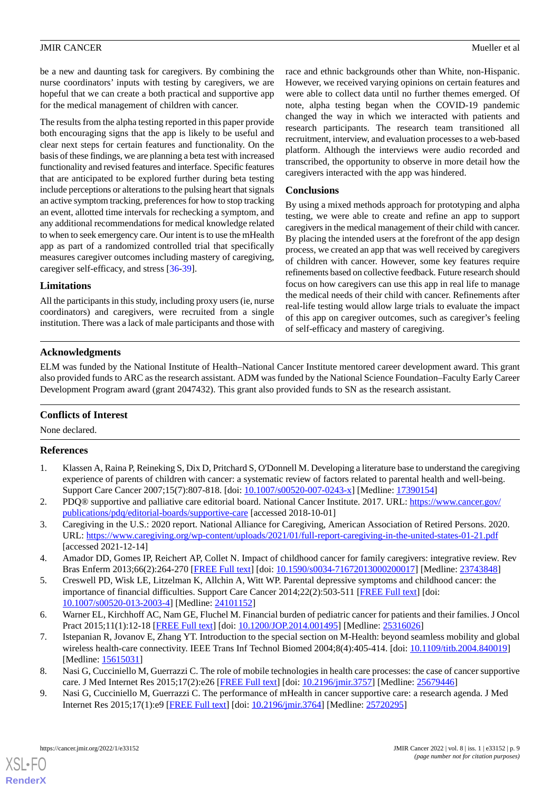be a new and daunting task for caregivers. By combining the nurse coordinators' inputs with testing by caregivers, we are hopeful that we can create a both practical and supportive app for the medical management of children with cancer.

The results from the alpha testing reported in this paper provide both encouraging signs that the app is likely to be useful and clear next steps for certain features and functionality. On the basis of these findings, we are planning a beta test with increased functionality and revised features and interface. Specific features that are anticipated to be explored further during beta testing include perceptions or alterations to the pulsing heart that signals an active symptom tracking, preferences for how to stop tracking an event, allotted time intervals for rechecking a symptom, and any additional recommendations for medical knowledge related to when to seek emergency care. Our intent is to use the mHealth app as part of a randomized controlled trial that specifically measures caregiver outcomes including mastery of caregiving, caregiver self-efficacy, and stress [\[36](#page-10-2)-[39\]](#page-10-3).

race and ethnic backgrounds other than White, non-Hispanic. However, we received varying opinions on certain features and were able to collect data until no further themes emerged. Of note, alpha testing began when the COVID-19 pandemic changed the way in which we interacted with patients and research participants. The research team transitioned all recruitment, interview, and evaluation processes to a web-based platform. Although the interviews were audio recorded and transcribed, the opportunity to observe in more detail how the caregivers interacted with the app was hindered.

#### **Conclusions**

By using a mixed methods approach for prototyping and alpha testing, we were able to create and refine an app to support caregivers in the medical management of their child with cancer. By placing the intended users at the forefront of the app design process, we created an app that was well received by caregivers of children with cancer. However, some key features require refinements based on collective feedback. Future research should focus on how caregivers can use this app in real life to manage the medical needs of their child with cancer. Refinements after real-life testing would allow large trials to evaluate the impact of this app on caregiver outcomes, such as caregiver's feeling of self-efficacy and mastery of caregiving.

## **Limitations**

All the participants in this study, including proxy users (ie, nurse coordinators) and caregivers, were recruited from a single institution. There was a lack of male participants and those with

# **Acknowledgments**

ELM was funded by the National Institute of Health–National Cancer Institute mentored career development award. This grant also provided funds to ARC as the research assistant. ADM was funded by the National Science Foundation–Faculty Early Career Development Program award (grant 2047432). This grant also provided funds to SN as the research assistant.

#### <span id="page-8-0"></span>**Conflicts of Interest**

None declared.

# **References**

- <span id="page-8-1"></span>1. Klassen A, Raina P, Reineking S, Dix D, Pritchard S, O'Donnell M. Developing a literature base to understand the caregiving experience of parents of children with cancer: a systematic review of factors related to parental health and well-being. Support Care Cancer 2007;15(7):807-818. [doi: [10.1007/s00520-007-0243-x\]](http://dx.doi.org/10.1007/s00520-007-0243-x) [Medline: [17390154\]](http://www.ncbi.nlm.nih.gov/entrez/query.fcgi?cmd=Retrieve&db=PubMed&list_uids=17390154&dopt=Abstract)
- <span id="page-8-2"></span>2. PDQ® supportive and palliative care editorial board. National Cancer Institute. 2017. URL: [https://www.cancer.gov/](https://www.cancer.gov/publications/pdq/editorial-boards/supportive-care) [publications/pdq/editorial-boards/supportive-care](https://www.cancer.gov/publications/pdq/editorial-boards/supportive-care) [accessed 2018-10-01]
- 3. Caregiving in the U.S.: 2020 report. National Alliance for Caregiving, American Association of Retired Persons. 2020. URL: <https://www.caregiving.org/wp-content/uploads/2021/01/full-report-caregiving-in-the-united-states-01-21.pdf> [accessed 2021-12-14]
- <span id="page-8-3"></span>4. Amador DD, Gomes IP, Reichert AP, Collet N. Impact of childhood cancer for family caregivers: integrative review. Rev Bras Enferm 2013;66(2):264-270 [\[FREE Full text\]](https://www.scielo.br/scielo.php?script=sci_arttext&pid=S0034-71672013000200017&lng=en&nrm=iso&tlng=en) [doi: [10.1590/s0034-71672013000200017](http://dx.doi.org/10.1590/s0034-71672013000200017)] [Medline: [23743848](http://www.ncbi.nlm.nih.gov/entrez/query.fcgi?cmd=Retrieve&db=PubMed&list_uids=23743848&dopt=Abstract)]
- <span id="page-8-4"></span>5. Creswell PD, Wisk LE, Litzelman K, Allchin A, Witt WP. Parental depressive symptoms and childhood cancer: the importance of financial difficulties. Support Care Cancer 2014;22(2):503-511 [[FREE Full text](http://europepmc.org/abstract/MED/24101152)] [doi: [10.1007/s00520-013-2003-4\]](http://dx.doi.org/10.1007/s00520-013-2003-4) [Medline: [24101152](http://www.ncbi.nlm.nih.gov/entrez/query.fcgi?cmd=Retrieve&db=PubMed&list_uids=24101152&dopt=Abstract)]
- <span id="page-8-5"></span>6. Warner EL, Kirchhoff AC, Nam GE, Fluchel M. Financial burden of pediatric cancer for patients and their families. J Oncol Pract 2015;11(1):12-18 [[FREE Full text](http://europepmc.org/abstract/MED/25316026)] [doi: [10.1200/JOP.2014.001495](http://dx.doi.org/10.1200/JOP.2014.001495)] [Medline: [25316026](http://www.ncbi.nlm.nih.gov/entrez/query.fcgi?cmd=Retrieve&db=PubMed&list_uids=25316026&dopt=Abstract)]
- 7. Istepanian R, Jovanov E, Zhang YT. Introduction to the special section on M-Health: beyond seamless mobility and global wireless health-care connectivity. IEEE Trans Inf Technol Biomed 2004;8(4):405-414. [doi: [10.1109/titb.2004.840019](http://dx.doi.org/10.1109/titb.2004.840019)] [Medline: [15615031](http://www.ncbi.nlm.nih.gov/entrez/query.fcgi?cmd=Retrieve&db=PubMed&list_uids=15615031&dopt=Abstract)]
- 8. Nasi G, Cucciniello M, Guerrazzi C. The role of mobile technologies in health care processes: the case of cancer supportive care. J Med Internet Res 2015;17(2):e26 [[FREE Full text](https://www.jmir.org/2015/2/e26/)] [doi: [10.2196/jmir.3757\]](http://dx.doi.org/10.2196/jmir.3757) [Medline: [25679446](http://www.ncbi.nlm.nih.gov/entrez/query.fcgi?cmd=Retrieve&db=PubMed&list_uids=25679446&dopt=Abstract)]
- 9. Nasi G, Cucciniello M, Guerrazzi C. The performance of mHealth in cancer supportive care: a research agenda. J Med Internet Res 2015;17(1):e9 [\[FREE Full text](https://www.jmir.org/2015/1/e9/)] [doi: [10.2196/jmir.3764\]](http://dx.doi.org/10.2196/jmir.3764) [Medline: [25720295](http://www.ncbi.nlm.nih.gov/entrez/query.fcgi?cmd=Retrieve&db=PubMed&list_uids=25720295&dopt=Abstract)]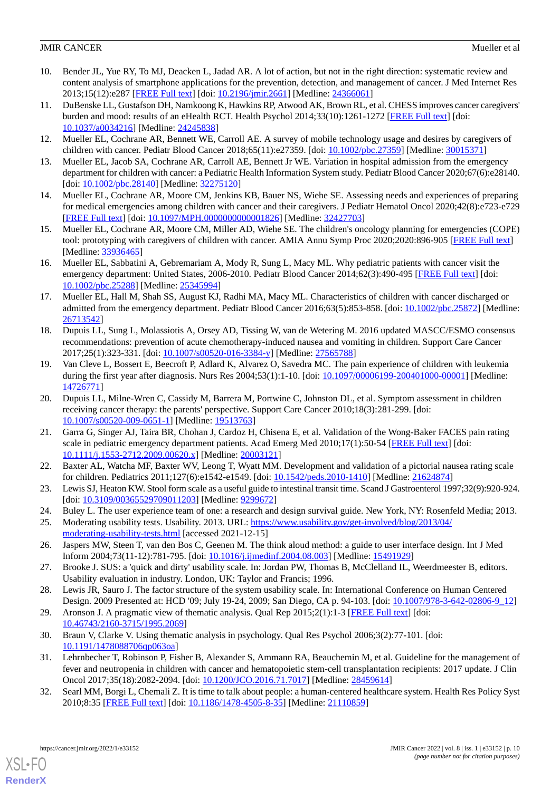- 10. Bender JL, Yue RY, To MJ, Deacken L, Jadad AR. A lot of action, but not in the right direction: systematic review and content analysis of smartphone applications for the prevention, detection, and management of cancer. J Med Internet Res 2013;15(12):e287 [\[FREE Full text](https://www.jmir.org/2013/12/e287/)] [doi: [10.2196/jmir.2661\]](http://dx.doi.org/10.2196/jmir.2661) [Medline: [24366061](http://www.ncbi.nlm.nih.gov/entrez/query.fcgi?cmd=Retrieve&db=PubMed&list_uids=24366061&dopt=Abstract)]
- <span id="page-9-0"></span>11. DuBenske LL, Gustafson DH, Namkoong K, Hawkins RP, Atwood AK, Brown RL, et al. CHESS improves cancer caregivers' burden and mood: results of an eHealth RCT. Health Psychol 2014;33(10):1261-1272 [[FREE Full text](http://europepmc.org/abstract/MED/24245838)] [doi: [10.1037/a0034216](http://dx.doi.org/10.1037/a0034216)] [Medline: [24245838](http://www.ncbi.nlm.nih.gov/entrez/query.fcgi?cmd=Retrieve&db=PubMed&list_uids=24245838&dopt=Abstract)]
- <span id="page-9-2"></span><span id="page-9-1"></span>12. Mueller EL, Cochrane AR, Bennett WE, Carroll AE. A survey of mobile technology usage and desires by caregivers of children with cancer. Pediatr Blood Cancer 2018;65(11):e27359. [doi: [10.1002/pbc.27359](http://dx.doi.org/10.1002/pbc.27359)] [Medline: [30015371](http://www.ncbi.nlm.nih.gov/entrez/query.fcgi?cmd=Retrieve&db=PubMed&list_uids=30015371&dopt=Abstract)]
- <span id="page-9-3"></span>13. Mueller EL, Jacob SA, Cochrane AR, Carroll AE, Bennett Jr WE. Variation in hospital admission from the emergency department for children with cancer: a Pediatric Health Information System study. Pediatr Blood Cancer 2020;67(6):e28140. [doi: [10.1002/pbc.28140](http://dx.doi.org/10.1002/pbc.28140)] [Medline: [32275120\]](http://www.ncbi.nlm.nih.gov/entrez/query.fcgi?cmd=Retrieve&db=PubMed&list_uids=32275120&dopt=Abstract)
- <span id="page-9-4"></span>14. Mueller EL, Cochrane AR, Moore CM, Jenkins KB, Bauer NS, Wiehe SE. Assessing needs and experiences of preparing for medical emergencies among children with cancer and their caregivers. J Pediatr Hematol Oncol 2020;42(8):e723-e729 [[FREE Full text](http://europepmc.org/abstract/MED/32427703)] [doi: [10.1097/MPH.0000000000001826\]](http://dx.doi.org/10.1097/MPH.0000000000001826) [Medline: [32427703\]](http://www.ncbi.nlm.nih.gov/entrez/query.fcgi?cmd=Retrieve&db=PubMed&list_uids=32427703&dopt=Abstract)
- <span id="page-9-5"></span>15. Mueller EL, Cochrane AR, Moore CM, Miller AD, Wiehe SE. The children's oncology planning for emergencies (COPE) tool: prototyping with caregivers of children with cancer. AMIA Annu Symp Proc 2020;2020:896-905 [\[FREE Full text](http://europepmc.org/abstract/MED/33936465)] [Medline: [33936465](http://www.ncbi.nlm.nih.gov/entrez/query.fcgi?cmd=Retrieve&db=PubMed&list_uids=33936465&dopt=Abstract)]
- 16. Mueller EL, Sabbatini A, Gebremariam A, Mody R, Sung L, Macy ML. Why pediatric patients with cancer visit the emergency department: United States, 2006-2010. Pediatr Blood Cancer 2014;62(3):490-495 [[FREE Full text](http://europepmc.org/abstract/MED/25345994)] [doi: [10.1002/pbc.25288\]](http://dx.doi.org/10.1002/pbc.25288) [Medline: [25345994\]](http://www.ncbi.nlm.nih.gov/entrez/query.fcgi?cmd=Retrieve&db=PubMed&list_uids=25345994&dopt=Abstract)
- 17. Mueller EL, Hall M, Shah SS, August KJ, Radhi MA, Macy ML. Characteristics of children with cancer discharged or admitted from the emergency department. Pediatr Blood Cancer 2016;63(5):853-858. [doi: [10.1002/pbc.25872\]](http://dx.doi.org/10.1002/pbc.25872) [Medline: [26713542](http://www.ncbi.nlm.nih.gov/entrez/query.fcgi?cmd=Retrieve&db=PubMed&list_uids=26713542&dopt=Abstract)]
- 18. Dupuis LL, Sung L, Molassiotis A, Orsey AD, Tissing W, van de Wetering M. 2016 updated MASCC/ESMO consensus recommendations: prevention of acute chemotherapy-induced nausea and vomiting in children. Support Care Cancer 2017;25(1):323-331. [doi: [10.1007/s00520-016-3384-y\]](http://dx.doi.org/10.1007/s00520-016-3384-y) [Medline: [27565788](http://www.ncbi.nlm.nih.gov/entrez/query.fcgi?cmd=Retrieve&db=PubMed&list_uids=27565788&dopt=Abstract)]
- <span id="page-9-6"></span>19. Van Cleve L, Bossert E, Beecroft P, Adlard K, Alvarez O, Savedra MC. The pain experience of children with leukemia during the first year after diagnosis. Nurs Res 2004;53(1):1-10. [doi: [10.1097/00006199-200401000-00001\]](http://dx.doi.org/10.1097/00006199-200401000-00001) [Medline: [14726771](http://www.ncbi.nlm.nih.gov/entrez/query.fcgi?cmd=Retrieve&db=PubMed&list_uids=14726771&dopt=Abstract)]
- <span id="page-9-7"></span>20. Dupuis LL, Milne-Wren C, Cassidy M, Barrera M, Portwine C, Johnston DL, et al. Symptom assessment in children receiving cancer therapy: the parents' perspective. Support Care Cancer 2010;18(3):281-299. [doi: [10.1007/s00520-009-0651-1\]](http://dx.doi.org/10.1007/s00520-009-0651-1) [Medline: [19513763](http://www.ncbi.nlm.nih.gov/entrez/query.fcgi?cmd=Retrieve&db=PubMed&list_uids=19513763&dopt=Abstract)]
- <span id="page-9-9"></span><span id="page-9-8"></span>21. Garra G, Singer AJ, Taira BR, Chohan J, Cardoz H, Chisena E, et al. Validation of the Wong-Baker FACES pain rating scale in pediatric emergency department patients. Acad Emerg Med 2010;17(1):50-54 [\[FREE Full text\]](https://doi.org/10.1111/j.1553-2712.2009.00620.x) [doi: [10.1111/j.1553-2712.2009.00620.x\]](http://dx.doi.org/10.1111/j.1553-2712.2009.00620.x) [Medline: [20003121\]](http://www.ncbi.nlm.nih.gov/entrez/query.fcgi?cmd=Retrieve&db=PubMed&list_uids=20003121&dopt=Abstract)
- <span id="page-9-11"></span><span id="page-9-10"></span>22. Baxter AL, Watcha MF, Baxter WV, Leong T, Wyatt MM. Development and validation of a pictorial nausea rating scale for children. Pediatrics 2011;127(6):e1542-e1549. [doi: [10.1542/peds.2010-1410\]](http://dx.doi.org/10.1542/peds.2010-1410) [Medline: [21624874](http://www.ncbi.nlm.nih.gov/entrez/query.fcgi?cmd=Retrieve&db=PubMed&list_uids=21624874&dopt=Abstract)]
- <span id="page-9-12"></span>23. Lewis SJ, Heaton KW. Stool form scale as a useful guide to intestinal transit time. Scand J Gastroenterol 1997;32(9):920-924. [doi: [10.3109/00365529709011203](http://dx.doi.org/10.3109/00365529709011203)] [Medline: [9299672\]](http://www.ncbi.nlm.nih.gov/entrez/query.fcgi?cmd=Retrieve&db=PubMed&list_uids=9299672&dopt=Abstract)
- <span id="page-9-13"></span>24. Buley L. The user experience team of one: a research and design survival guide. New York, NY: Rosenfeld Media; 2013.
- <span id="page-9-14"></span>25. Moderating usability tests. Usability. 2013. URL: [https://www.usability.gov/get-involved/blog/2013/04/](https://www.usability.gov/get-involved/blog/2013/04/moderating-usability-tests.html) [moderating-usability-tests.html](https://www.usability.gov/get-involved/blog/2013/04/moderating-usability-tests.html) [accessed 2021-12-15]
- <span id="page-9-15"></span>26. Jaspers MW, Steen T, van den Bos C, Geenen M. The think aloud method: a guide to user interface design. Int J Med Inform 2004;73(11-12):781-795. [doi: [10.1016/j.ijmedinf.2004.08.003](http://dx.doi.org/10.1016/j.ijmedinf.2004.08.003)] [Medline: [15491929\]](http://www.ncbi.nlm.nih.gov/entrez/query.fcgi?cmd=Retrieve&db=PubMed&list_uids=15491929&dopt=Abstract)
- <span id="page-9-16"></span>27. Brooke J. SUS: a 'quick and dirty' usability scale. In: Jordan PW, Thomas B, McClelland IL, Weerdmeester B, editors. Usability evaluation in industry. London, UK: Taylor and Francis; 1996.
- <span id="page-9-17"></span>28. Lewis JR, Sauro J. The factor structure of the system usability scale. In: International Conference on Human Centered Design. 2009 Presented at: HCD '09; July 19-24, 2009; San Diego, CA p. 94-103. [doi: [10.1007/978-3-642-02806-9\\_12](http://dx.doi.org/10.1007/978-3-642-02806-9_12)]
- <span id="page-9-18"></span>29. Aronson J. A pragmatic view of thematic analysis. Qual Rep 2015;2(1):1-3 [\[FREE Full text\]](https://nsuworks.nova.edu/tqr/vol2/iss1/3) [doi: [10.46743/2160-3715/1995.2069](http://dx.doi.org/10.46743/2160-3715/1995.2069)]
- 30. Braun V, Clarke V. Using thematic analysis in psychology. Qual Res Psychol 2006;3(2):77-101. [doi: [10.1191/1478088706qp063oa](http://dx.doi.org/10.1191/1478088706qp063oa)]
- 31. Lehrnbecher T, Robinson P, Fisher B, Alexander S, Ammann RA, Beauchemin M, et al. Guideline for the management of fever and neutropenia in children with cancer and hematopoietic stem-cell transplantation recipients: 2017 update. J Clin Oncol 2017;35(18):2082-2094. [doi: [10.1200/JCO.2016.71.7017\]](http://dx.doi.org/10.1200/JCO.2016.71.7017) [Medline: [28459614\]](http://www.ncbi.nlm.nih.gov/entrez/query.fcgi?cmd=Retrieve&db=PubMed&list_uids=28459614&dopt=Abstract)
- 32. Searl MM, Borgi L, Chemali Z. It is time to talk about people: a human-centered healthcare system. Health Res Policy Syst 2010;8:35 [[FREE Full text](https://health-policy-systems.biomedcentral.com/articles/10.1186/1478-4505-8-35)] [doi: [10.1186/1478-4505-8-35\]](http://dx.doi.org/10.1186/1478-4505-8-35) [Medline: [21110859\]](http://www.ncbi.nlm.nih.gov/entrez/query.fcgi?cmd=Retrieve&db=PubMed&list_uids=21110859&dopt=Abstract)